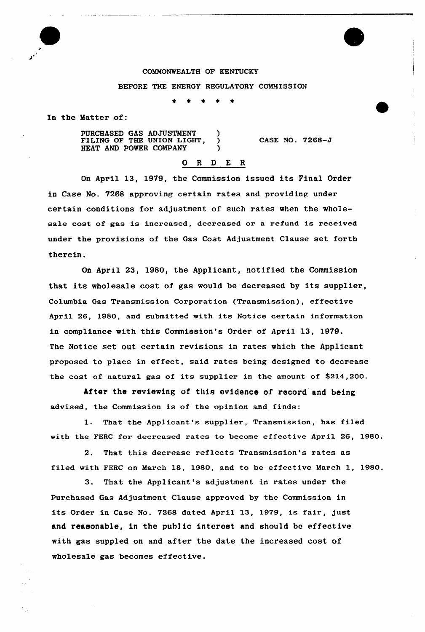# COMMONWEALTH OF KENTUCKY BEFORE THE ENERGY REGULATORY COMMISSION

In the Matter of:

PURCHASED GAS ADJUSTMENT ) FILING OF THE UNION LIGHT, HEAT AND POWER COMPANY

CASE NO. 7268-J

### 0 <sup>R</sup> <sup>D</sup> E <sup>R</sup>

On April 13, 1979, the Commission issued its Final Order in Case No. 7268 approving certain rates and providing under certain conditions for adjustment of such rates when the wholesale cost of gas is increased, decreased or a refund is received under the provisions of the Gas Cost Adjustment Clause set forth therein.

On April 23, 1980, the Applicant, notified the Commission that its wholesale cost of gas would be decreased by its supplier, Co1umbia Gas Transmission Corporation (Transmission), effective April 26, 1980, and submitted with its Notice certain information in compliance with this Commission's Order of April 13, 1979. The Notice set out certain revisions in rates which the Applicant proposed to place in effect, said rates being designed to decrease the cost of natural gas of its supplier in the amount of  $$214,200$ .

After the reviewing of this evidence of record and being advised, the Commission is of the opinion and finds:

1. That the Applicant's supplier, Transmission, has filed with the FERC for decreased rates to become effective April 26, 1980.

2. That this decrease reflects Transmission's rates as filed with FERC on March 18, 1980, and to be effective March 1, 1980.

3. That the Applicant's adjustment in rates under the Purchased Gas Adjustment Clause approved by the Commission in its Order in Case No. 7268 dated April 13, 1979, is fair, just and reasonable, in the public interest and should be effective with gas suppled on and after the date the increased cost of wholesale gas becomes effective.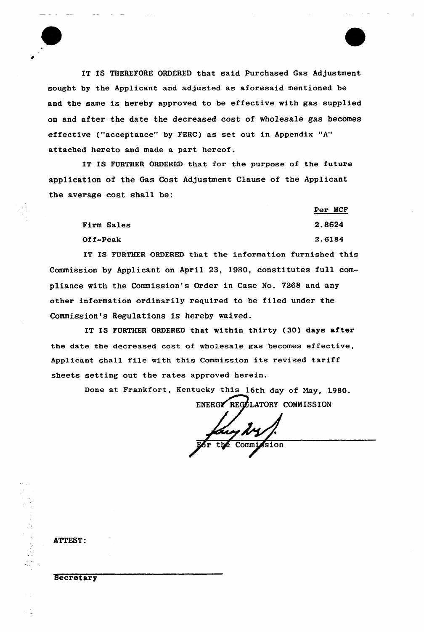IT IS THEREFORE ORDERED that said Purchased Gas Adjustment sought by the Applicant and adjusted as aforesaid mentioned be and the same is hereby approved to be effective with gas supplied on and after the date the decreased cost of wholesale gas becomes effective ("acceptance" by FERC) as set out in Appendix "A" attached hereto and made a part hereof.

IT IS FURTHER ORDERED that for the purpose of the future application of the Gas Cost Adjustment Clause of the Applicant the average cost shall be:

|                   | Per MCF |
|-------------------|---------|
| <b>Firm Sales</b> | 2.8624  |
| Off-Peak          | 2.6184  |

IT IS FURTHER ORDERED that the information furnished this Commission by Applicant on April 23, 1980, constitutes full compliance with the Commission's Order in Case No. 7268 and any other information ordinarily required to be filed under the Commission's Regulations is hereby waived.

IT IS FURTHER ORDERED that within thirty (30) days after the date the decreased cost of wholesale gas becomes effective, Applicant shall file with this Commission its revised tariff sheets setting out the rates approved herein.

Done at Frankfort, Kentucky this 16th day of May, 1980.

ENERGY REGULATORY COMMISSION

Commission

ATTEST:

#### **Secretary**